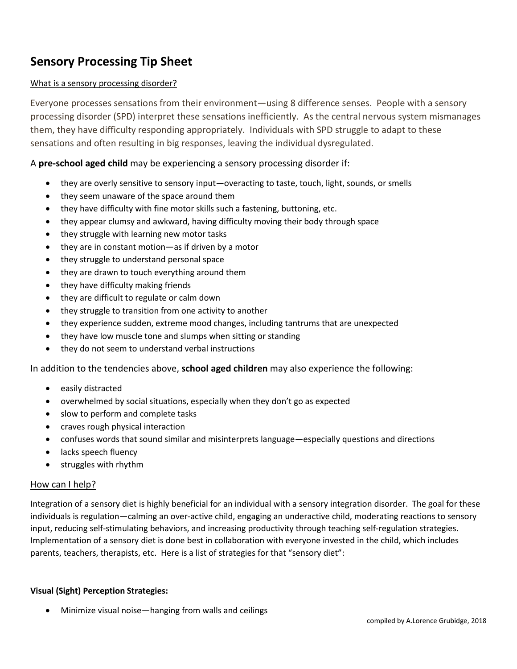# **Sensory Processing Tip Sheet**

# What is a sensory processing disorder?

Everyone processes sensations from their environment—using 8 difference senses. People with a sensory processing disorder (SPD) interpret these sensations inefficiently. As the central nervous system mismanages them, they have difficulty responding appropriately. Individuals with SPD struggle to adapt to these sensations and often resulting in big responses, leaving the individual dysregulated.

# A **pre-school aged child** may be experiencing a sensory processing disorder if:

- they are overly sensitive to sensory input—overacting to taste, touch, light, sounds, or smells
- they seem unaware of the space around them
- they have difficulty with fine motor skills such a fastening, buttoning, etc.
- they appear clumsy and awkward, having difficulty moving their body through space
- they struggle with learning new motor tasks
- they are in constant motion—as if driven by a motor
- they struggle to understand personal space
- they are drawn to touch everything around them
- they have difficulty making friends
- they are difficult to regulate or calm down
- they struggle to transition from one activity to another
- they experience sudden, extreme mood changes, including tantrums that are unexpected
- they have low muscle tone and slumps when sitting or standing
- they do not seem to understand verbal instructions

In addition to the tendencies above, **school aged children** may also experience the following:

- easily distracted
- overwhelmed by social situations, especially when they don't go as expected
- slow to perform and complete tasks
- craves rough physical interaction
- confuses words that sound similar and misinterprets language—especially questions and directions
- lacks speech fluency
- struggles with rhythm

#### How can I help?

Integration of a sensory diet is highly beneficial for an individual with a sensory integration disorder. The goal for these individuals is regulation—calming an over-active child, engaging an underactive child, moderating reactions to sensory input, reducing self-stimulating behaviors, and increasing productivity through teaching self-regulation strategies. Implementation of a sensory diet is done best in collaboration with everyone invested in the child, which includes parents, teachers, therapists, etc. Here is a list of strategies for that "sensory diet":

## **Visual (Sight) Perception Strategies:**

• Minimize visual noise—hanging from walls and ceilings